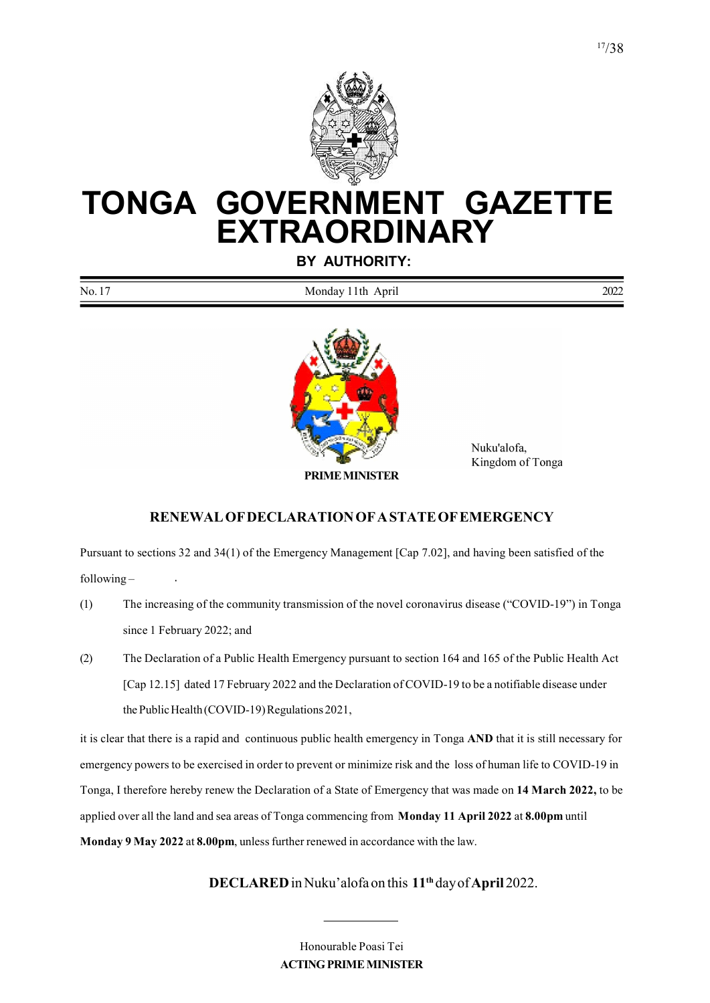

# TONGA GOVERNMENT GAZETTE EXTRAORDINARY

BY AUTHORITY:

No. 17 Monday 11th April 2022



 Nuku'alofa, Kingdom of Tonga

#### PRIME MINISTER

RENEWAL OF DECLARATION OF A STATE OF EMERGENCY

Pursuant to sections 32 and 34(1) of the Emergency Management [Cap 7.02], and having been satisfied of the following –

- (1) The increasing of the community transmission of the novel coronavirus disease ("COVID-19") in Tonga since 1 February 2022; and
- (2) The Declaration of a Public Health Emergency pursuant to section 164 and 165 of the Public Health Act [Cap 12.15] dated 17 February 2022 and the Declaration of COVID-19 to be a notifiable disease under the Public Health (COVID-19) Regulations 2021,

it is clear that there is a rapid and continuous public health emergency in Tonga AND that it is still necessary for emergency powers to be exercised in order to prevent or minimize risk and the loss of human life to COVID-19 in Tonga, I therefore hereby renew the Declaration of a State of Emergency that was made on 14 March 2022, to be applied over all the land and sea areas of Tonga commencing from Monday 11 April 2022 at 8.00pm until Monday 9 May 2022 at 8.00pm, unless further renewed in accordance with the law.

#### DECLARED in Nuku'alofa on this 11<sup>th</sup> day of April 2022.

Honourable Poasi Tei ACTING PRIME MINISTER